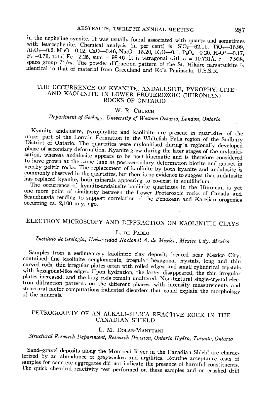in the nepheline syenite. It was usually found associated with quartz and sometimes with leucosphenite. Chemical analysis (in per cent) is:  $SiO_2 - 62.11$ ,  $TiO_2 - 16.99$ ,<br>Al<sub>2</sub>O<sub>5</sub>-0.2, MnO-0.02, CaO-0.46, Na<sub>2</sub>O-15.20, K<sub>2</sub>O-0.1, P<sub>2</sub>O<sub>5</sub>-0.20, M<sub>2</sub>O<sup>+</sup>-0.17, F<sub>2</sub>-0.76, total Fe-2.25, sum = 98.46. It is tetragonal with  $a = 10.721$ Å,  $c = 7.938$ , space group  $I4/m$ . The powder diffraction pattern of the St. Hilaire narsarsukite is identical to that of material from Greenland and Kola Peninsula, U.S.S.R.

#### THE OCCURRENCE OF KYANITE, ANDALUSITE, PYROPHYLLITE . AND KAOLINITE IN LOWER PROTEROZOIC (HURONIAN) ROCKS OF ONTARIO

### W. R. CHURCH

## Department of Geology, University of Western Ontario, London, Ontario

Kyanite, andalusite, pyrophyllite and kaolinite are present in quartzites of the upper part of the Lorrain Formation in the Whitefish Falls region of the Sudbury District of Ontario. The quartzites were mylonitised during a regionally developed phase of secondary deformation. Kyanite grew during the later stages of the mylonitisation, whereas andalusite appears to be post-kinematic and is therefore considered to have grown at the same time as post-secondary-deformation biotite and garnet in nearby pelitic rocks. The replacement of kaolinite by both kyanite and andalusite is commonly observed in the quartzites, but there is no evidence to suggest that andalusite has replaced kyanite, both minerals appearing to co-exist in equilibrium.

The occurrence of kyanite-andalusite-kaolinite quartzites in the Huronian is yet<br>one more point of similarity between the Lower Proterozoic rocks of Canada and Scandinavia tending to support correlation of the Penokean and Karelian orogenies occurring ca.  $2,100$  m.y. ago.

## ELECTRON MICROSCOPY AND DIFFRACTION ON KAOLINITIC CLAYS

#### L. DE PABLO

# Instituto de Geologia, Universidad Nacional A. de Mexico, Mexico City, Mexico

Samples from a sedimentary kaolinitic clay deposit, located near Mexico City, contained fine kaolinite conglomerate, irregular hexagonal crystals, long and thin curved rods, thin irregular plates often with rolled edges, and small cylindrical crystals with hexagonal-like edges. Upon hydration, the latter disappeared, the thin irregular plates increased, and the long rods remain unaltered. Non-textural single-crystal electron diffraction patterns on the different phases, with intensity measurements and structural factor computations indicated disorders that could explain the morphology of the minerals.

### PETROGRAPHY OF AN ALKALI-SILICA REACTIVE ROCK IN THE CANADIAN SHIELD

#### L. M. DOLAR-MANTUANI

## Structural Research Department, Research Division, Ontario Hydro, Toronto, Ontario

Sand-gravel deposits along the Montreal River in the Canadian Shield are characterized by an abundance of greywackes and argillites. Routine acceptance tests of samples for concrete aggregates did not indicate the presence of harmful constituents. The quick chemical reactivity test performed on these samples and on crushed drill